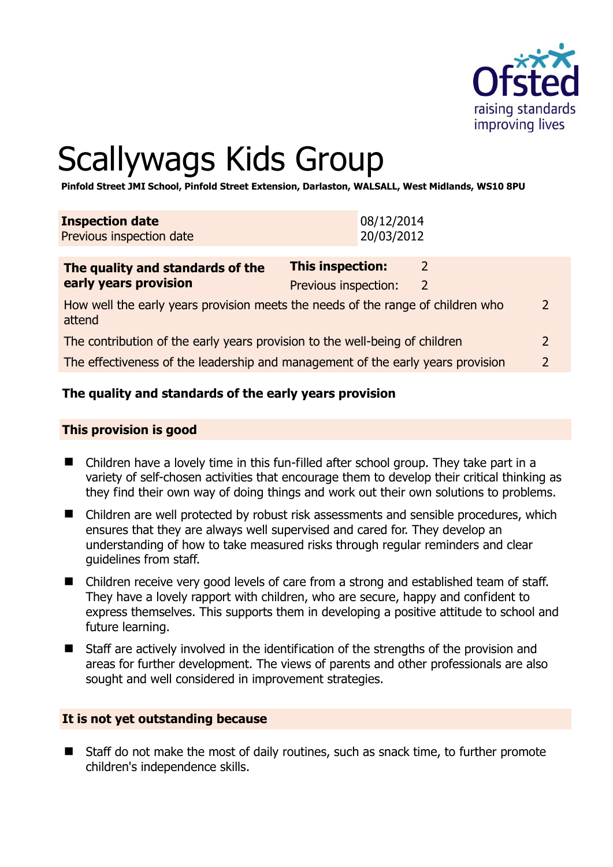

# Scallywags Kids Group

**Pinfold Street JMI School, Pinfold Street Extension, Darlaston, WALSALL, West Midlands, WS10 8PU** 

| <b>Inspection date</b><br>Previous inspection date                                                          | 08/12/2014<br>20/03/2012                                  |  |
|-------------------------------------------------------------------------------------------------------------|-----------------------------------------------------------|--|
| The quality and standards of the<br>early years provision                                                   | <b>This inspection:</b><br>2<br>Previous inspection:<br>2 |  |
| $\overline{2}$<br>How well the early years provision meets the needs of the range of children who<br>attend |                                                           |  |
| The contribution of the early years provision to the well-being of children                                 |                                                           |  |
| The effectiveness of the leadership and management of the early years provision                             |                                                           |  |

# **The quality and standards of the early years provision**

#### **This provision is good**

- Children have a lovely time in this fun-filled after school group. They take part in a variety of self-chosen activities that encourage them to develop their critical thinking as they find their own way of doing things and work out their own solutions to problems.
- Children are well protected by robust risk assessments and sensible procedures, which ensures that they are always well supervised and cared for. They develop an understanding of how to take measured risks through regular reminders and clear guidelines from staff.
- Children receive very good levels of care from a strong and established team of staff. They have a lovely rapport with children, who are secure, happy and confident to express themselves. This supports them in developing a positive attitude to school and future learning.
- Staff are actively involved in the identification of the strengths of the provision and areas for further development. The views of parents and other professionals are also sought and well considered in improvement strategies.

#### **It is not yet outstanding because**

 Staff do not make the most of daily routines, such as snack time, to further promote children's independence skills.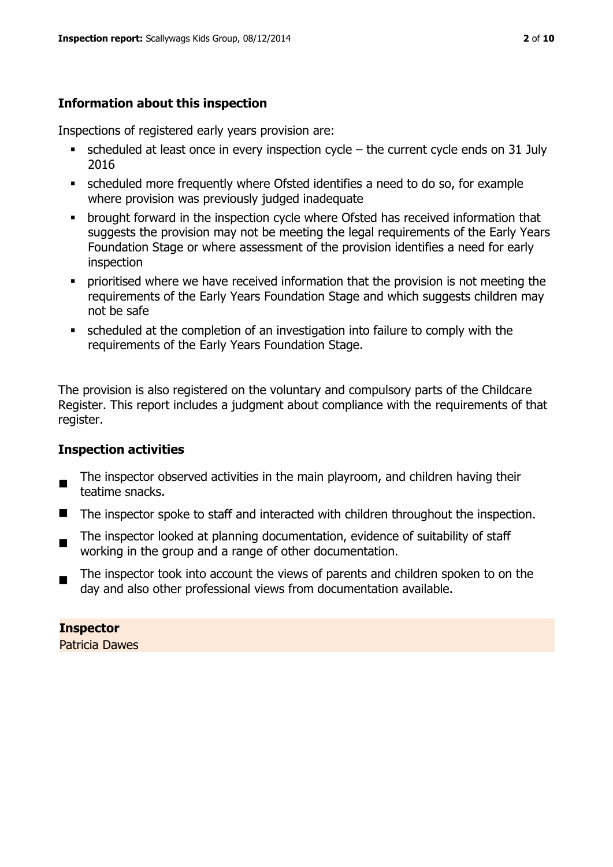# **Information about this inspection**

Inspections of registered early years provision are:

- $\bullet$  scheduled at least once in every inspection cycle the current cycle ends on 31 July 2016
- scheduled more frequently where Ofsted identifies a need to do so, for example where provision was previously judged inadequate
- **•** brought forward in the inspection cycle where Ofsted has received information that suggests the provision may not be meeting the legal requirements of the Early Years Foundation Stage or where assessment of the provision identifies a need for early inspection
- **•** prioritised where we have received information that the provision is not meeting the requirements of the Early Years Foundation Stage and which suggests children may not be safe
- scheduled at the completion of an investigation into failure to comply with the requirements of the Early Years Foundation Stage.

The provision is also registered on the voluntary and compulsory parts of the Childcare Register. This report includes a judgment about compliance with the requirements of that register.

# **Inspection activities**

- $\blacksquare$ The inspector observed activities in the main playroom, and children having their teatime snacks.
- The inspector spoke to staff and interacted with children throughout the inspection.
- The inspector looked at planning documentation, evidence of suitability of staff working in the group and a range of other documentation.
- The inspector took into account the views of parents and children spoken to on the day and also other professional views from documentation available.

# **Inspector**

Patricia Dawes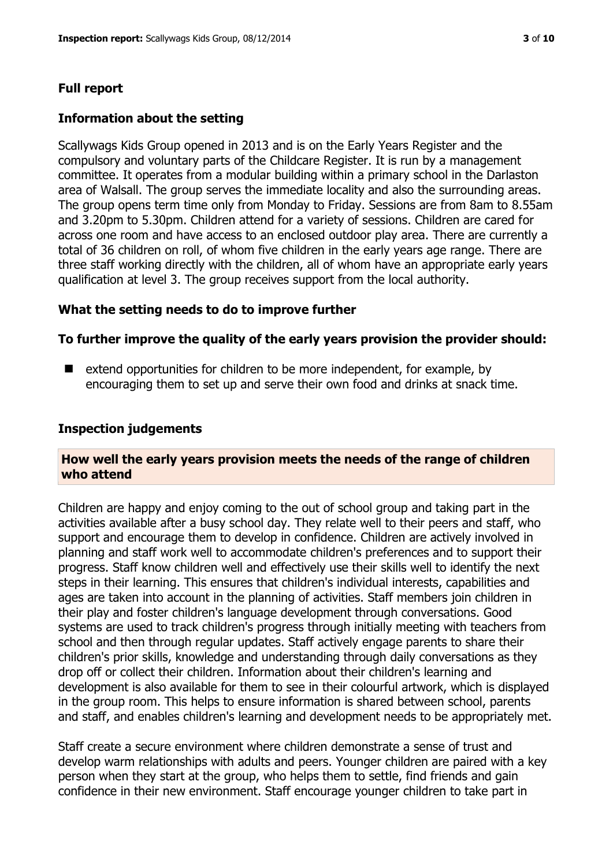### **Full report**

#### **Information about the setting**

Scallywags Kids Group opened in 2013 and is on the Early Years Register and the compulsory and voluntary parts of the Childcare Register. It is run by a management committee. It operates from a modular building within a primary school in the Darlaston area of Walsall. The group serves the immediate locality and also the surrounding areas. The group opens term time only from Monday to Friday. Sessions are from 8am to 8.55am and 3.20pm to 5.30pm. Children attend for a variety of sessions. Children are cared for across one room and have access to an enclosed outdoor play area. There are currently a total of 36 children on roll, of whom five children in the early years age range. There are three staff working directly with the children, all of whom have an appropriate early years qualification at level 3. The group receives support from the local authority.

#### **What the setting needs to do to improve further**

#### **To further improve the quality of the early years provision the provider should:**

 $\blacksquare$  extend opportunities for children to be more independent, for example, by encouraging them to set up and serve their own food and drinks at snack time.

#### **Inspection judgements**

#### **How well the early years provision meets the needs of the range of children who attend**

Children are happy and enjoy coming to the out of school group and taking part in the activities available after a busy school day. They relate well to their peers and staff, who support and encourage them to develop in confidence. Children are actively involved in planning and staff work well to accommodate children's preferences and to support their progress. Staff know children well and effectively use their skills well to identify the next steps in their learning. This ensures that children's individual interests, capabilities and ages are taken into account in the planning of activities. Staff members join children in their play and foster children's language development through conversations. Good systems are used to track children's progress through initially meeting with teachers from school and then through regular updates. Staff actively engage parents to share their children's prior skills, knowledge and understanding through daily conversations as they drop off or collect their children. Information about their children's learning and development is also available for them to see in their colourful artwork, which is displayed in the group room. This helps to ensure information is shared between school, parents and staff, and enables children's learning and development needs to be appropriately met.

Staff create a secure environment where children demonstrate a sense of trust and develop warm relationships with adults and peers. Younger children are paired with a key person when they start at the group, who helps them to settle, find friends and gain confidence in their new environment. Staff encourage younger children to take part in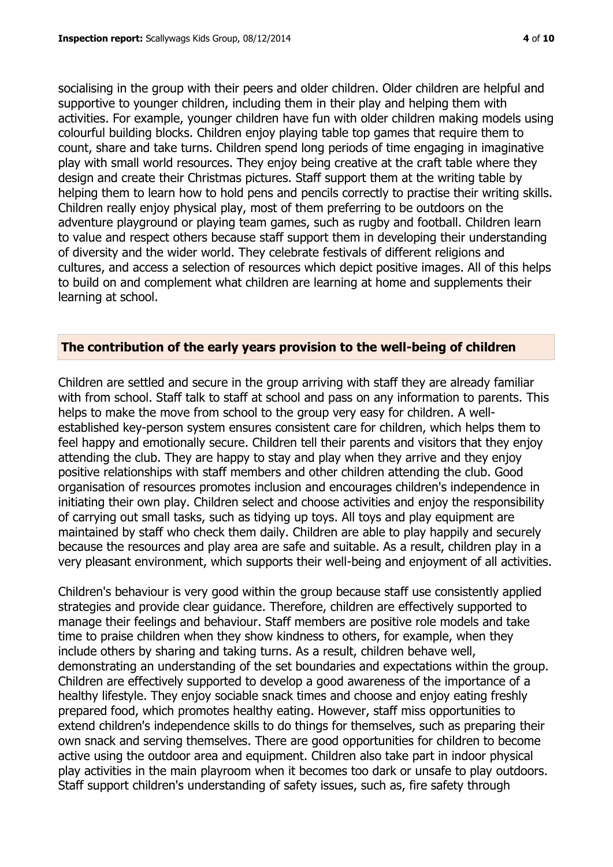socialising in the group with their peers and older children. Older children are helpful and supportive to younger children, including them in their play and helping them with activities. For example, younger children have fun with older children making models using colourful building blocks. Children enjoy playing table top games that require them to count, share and take turns. Children spend long periods of time engaging in imaginative play with small world resources. They enjoy being creative at the craft table where they design and create their Christmas pictures. Staff support them at the writing table by helping them to learn how to hold pens and pencils correctly to practise their writing skills. Children really enjoy physical play, most of them preferring to be outdoors on the adventure playground or playing team games, such as rugby and football. Children learn to value and respect others because staff support them in developing their understanding of diversity and the wider world. They celebrate festivals of different religions and cultures, and access a selection of resources which depict positive images. All of this helps to build on and complement what children are learning at home and supplements their learning at school.

# **The contribution of the early years provision to the well-being of children**

Children are settled and secure in the group arriving with staff they are already familiar with from school. Staff talk to staff at school and pass on any information to parents. This helps to make the move from school to the group very easy for children. A wellestablished key-person system ensures consistent care for children, which helps them to feel happy and emotionally secure. Children tell their parents and visitors that they enjoy attending the club. They are happy to stay and play when they arrive and they enjoy positive relationships with staff members and other children attending the club. Good organisation of resources promotes inclusion and encourages children's independence in initiating their own play. Children select and choose activities and enjoy the responsibility of carrying out small tasks, such as tidying up toys. All toys and play equipment are maintained by staff who check them daily. Children are able to play happily and securely because the resources and play area are safe and suitable. As a result, children play in a very pleasant environment, which supports their well-being and enjoyment of all activities.

Children's behaviour is very good within the group because staff use consistently applied strategies and provide clear guidance. Therefore, children are effectively supported to manage their feelings and behaviour. Staff members are positive role models and take time to praise children when they show kindness to others, for example, when they include others by sharing and taking turns. As a result, children behave well, demonstrating an understanding of the set boundaries and expectations within the group. Children are effectively supported to develop a good awareness of the importance of a healthy lifestyle. They enjoy sociable snack times and choose and enjoy eating freshly prepared food, which promotes healthy eating. However, staff miss opportunities to extend children's independence skills to do things for themselves, such as preparing their own snack and serving themselves. There are good opportunities for children to become active using the outdoor area and equipment. Children also take part in indoor physical play activities in the main playroom when it becomes too dark or unsafe to play outdoors. Staff support children's understanding of safety issues, such as, fire safety through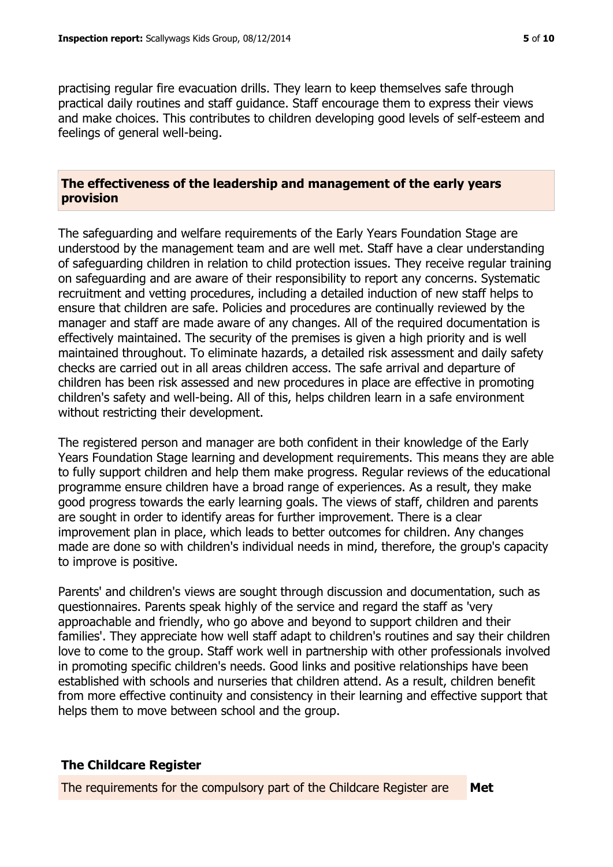practising regular fire evacuation drills. They learn to keep themselves safe through practical daily routines and staff guidance. Staff encourage them to express their views and make choices. This contributes to children developing good levels of self-esteem and feelings of general well-being.

### **The effectiveness of the leadership and management of the early years provision**

The safeguarding and welfare requirements of the Early Years Foundation Stage are understood by the management team and are well met. Staff have a clear understanding of safeguarding children in relation to child protection issues. They receive regular training on safeguarding and are aware of their responsibility to report any concerns. Systematic recruitment and vetting procedures, including a detailed induction of new staff helps to ensure that children are safe. Policies and procedures are continually reviewed by the manager and staff are made aware of any changes. All of the required documentation is effectively maintained. The security of the premises is given a high priority and is well maintained throughout. To eliminate hazards, a detailed risk assessment and daily safety checks are carried out in all areas children access. The safe arrival and departure of children has been risk assessed and new procedures in place are effective in promoting children's safety and well-being. All of this, helps children learn in a safe environment without restricting their development.

The registered person and manager are both confident in their knowledge of the Early Years Foundation Stage learning and development requirements. This means they are able to fully support children and help them make progress. Regular reviews of the educational programme ensure children have a broad range of experiences. As a result, they make good progress towards the early learning goals. The views of staff, children and parents are sought in order to identify areas for further improvement. There is a clear improvement plan in place, which leads to better outcomes for children. Any changes made are done so with children's individual needs in mind, therefore, the group's capacity to improve is positive.

Parents' and children's views are sought through discussion and documentation, such as questionnaires. Parents speak highly of the service and regard the staff as 'very approachable and friendly, who go above and beyond to support children and their families'. They appreciate how well staff adapt to children's routines and say their children love to come to the group. Staff work well in partnership with other professionals involved in promoting specific children's needs. Good links and positive relationships have been established with schools and nurseries that children attend. As a result, children benefit from more effective continuity and consistency in their learning and effective support that helps them to move between school and the group.

# **The Childcare Register**

The requirements for the compulsory part of the Childcare Register are **Met**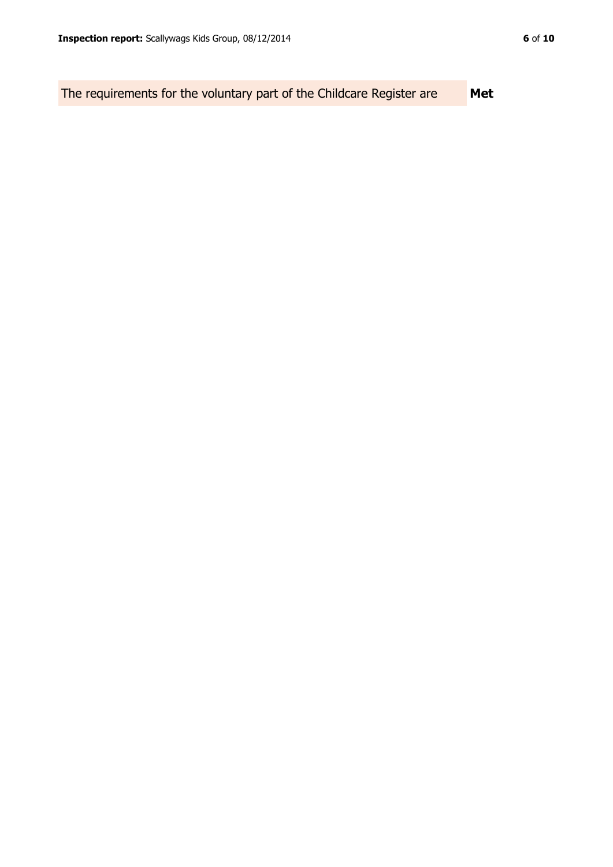The requirements for the voluntary part of the Childcare Register are **Met**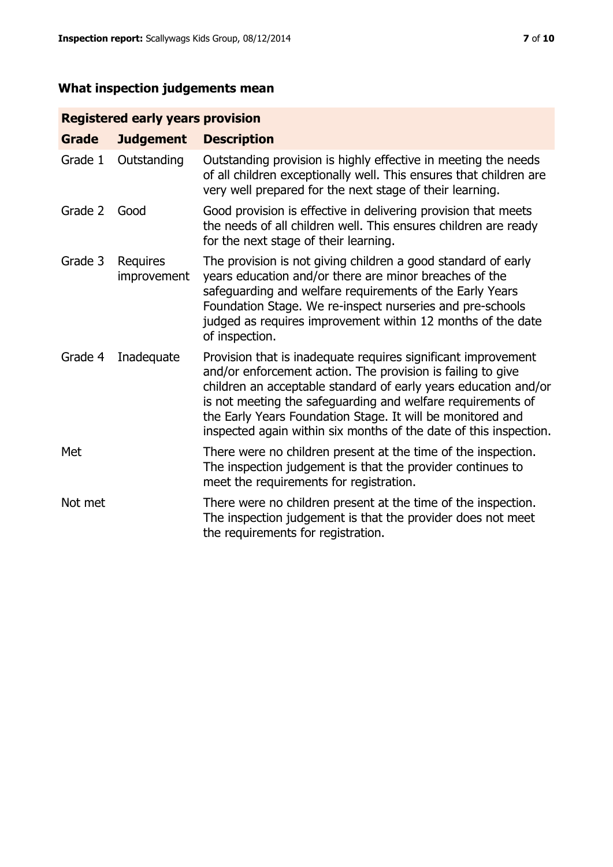# **What inspection judgements mean**

# **Registered early years provision**

| Grade   | <b>Judgement</b>        | <b>Description</b>                                                                                                                                                                                                                                                                                                                                                                                |
|---------|-------------------------|---------------------------------------------------------------------------------------------------------------------------------------------------------------------------------------------------------------------------------------------------------------------------------------------------------------------------------------------------------------------------------------------------|
| Grade 1 | Outstanding             | Outstanding provision is highly effective in meeting the needs<br>of all children exceptionally well. This ensures that children are<br>very well prepared for the next stage of their learning.                                                                                                                                                                                                  |
| Grade 2 | Good                    | Good provision is effective in delivering provision that meets<br>the needs of all children well. This ensures children are ready<br>for the next stage of their learning.                                                                                                                                                                                                                        |
| Grade 3 | Requires<br>improvement | The provision is not giving children a good standard of early<br>years education and/or there are minor breaches of the<br>safeguarding and welfare requirements of the Early Years<br>Foundation Stage. We re-inspect nurseries and pre-schools<br>judged as requires improvement within 12 months of the date<br>of inspection.                                                                 |
| Grade 4 | Inadequate              | Provision that is inadequate requires significant improvement<br>and/or enforcement action. The provision is failing to give<br>children an acceptable standard of early years education and/or<br>is not meeting the safeguarding and welfare requirements of<br>the Early Years Foundation Stage. It will be monitored and<br>inspected again within six months of the date of this inspection. |
| Met     |                         | There were no children present at the time of the inspection.<br>The inspection judgement is that the provider continues to<br>meet the requirements for registration.                                                                                                                                                                                                                            |
| Not met |                         | There were no children present at the time of the inspection.<br>The inspection judgement is that the provider does not meet<br>the requirements for registration.                                                                                                                                                                                                                                |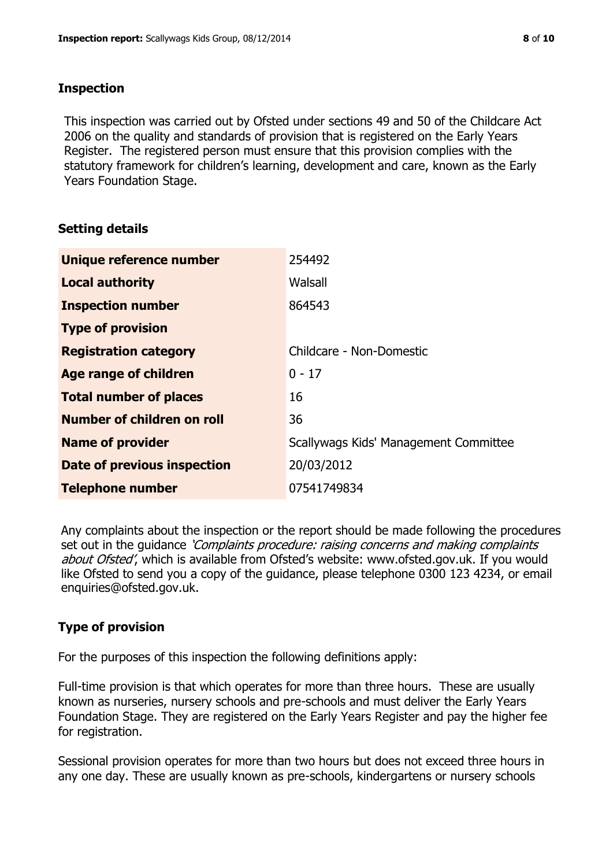# **Inspection**

This inspection was carried out by Ofsted under sections 49 and 50 of the Childcare Act 2006 on the quality and standards of provision that is registered on the Early Years Register. The registered person must ensure that this provision complies with the statutory framework for children's learning, development and care, known as the Early Years Foundation Stage.

# **Setting details**

| Unique reference number       | 254492                                |
|-------------------------------|---------------------------------------|
| <b>Local authority</b>        | Walsall                               |
| <b>Inspection number</b>      | 864543                                |
| <b>Type of provision</b>      |                                       |
| <b>Registration category</b>  | Childcare - Non-Domestic              |
| Age range of children         | $0 - 17$                              |
| <b>Total number of places</b> | 16                                    |
| Number of children on roll    | 36                                    |
| <b>Name of provider</b>       | Scallywags Kids' Management Committee |
| Date of previous inspection   | 20/03/2012                            |
| <b>Telephone number</b>       | 07541749834                           |

Any complaints about the inspection or the report should be made following the procedures set out in the guidance *'Complaints procedure: raising concerns and making complaints* about Ofsted', which is available from Ofsted's website: www.ofsted.gov.uk. If you would like Ofsted to send you a copy of the guidance, please telephone 0300 123 4234, or email enquiries@ofsted.gov.uk.

# **Type of provision**

For the purposes of this inspection the following definitions apply:

Full-time provision is that which operates for more than three hours. These are usually known as nurseries, nursery schools and pre-schools and must deliver the Early Years Foundation Stage. They are registered on the Early Years Register and pay the higher fee for registration.

Sessional provision operates for more than two hours but does not exceed three hours in any one day. These are usually known as pre-schools, kindergartens or nursery schools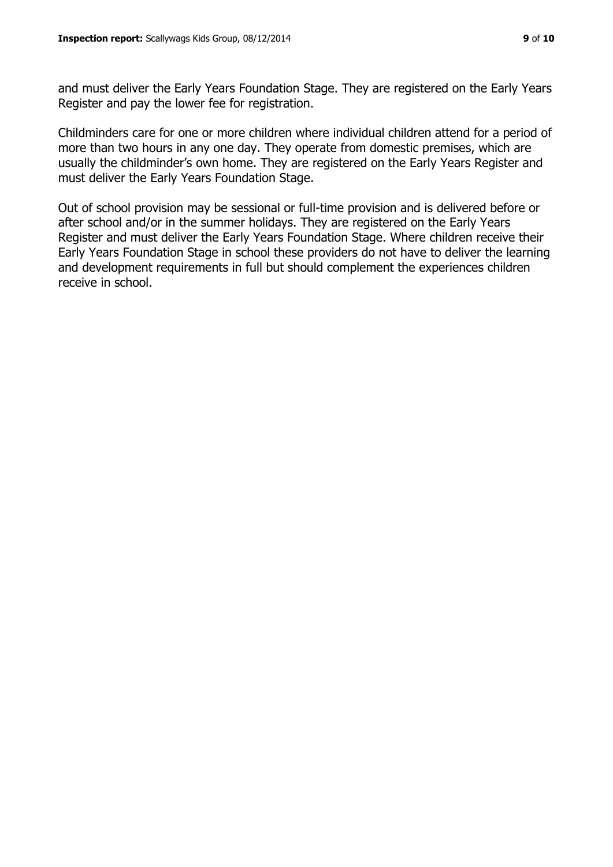and must deliver the Early Years Foundation Stage. They are registered on the Early Years Register and pay the lower fee for registration.

Childminders care for one or more children where individual children attend for a period of more than two hours in any one day. They operate from domestic premises, which are usually the childminder's own home. They are registered on the Early Years Register and must deliver the Early Years Foundation Stage.

Out of school provision may be sessional or full-time provision and is delivered before or after school and/or in the summer holidays. They are registered on the Early Years Register and must deliver the Early Years Foundation Stage. Where children receive their Early Years Foundation Stage in school these providers do not have to deliver the learning and development requirements in full but should complement the experiences children receive in school.